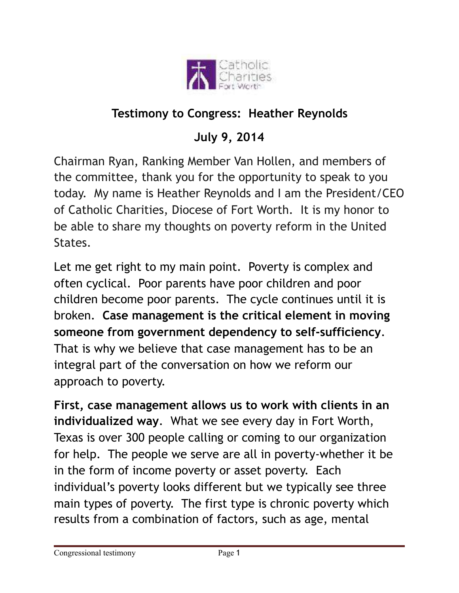

## **Testimony to Congress: Heather Reynolds**

## **July 9, 2014**

Chairman Ryan, Ranking Member Van Hollen, and members of the committee, thank you for the opportunity to speak to you today. My name is Heather Reynolds and I am the President/CEO of Catholic Charities, Diocese of Fort Worth. It is my honor to be able to share my thoughts on poverty reform in the United States.

Let me get right to my main point. Poverty is complex and often cyclical. Poor parents have poor children and poor children become poor parents. The cycle continues until it is broken. **Case management is the critical element in moving someone from government dependency to self-sufficiency**. That is why we believe that case management has to be an integral part of the conversation on how we reform our approach to poverty.

**First, case management allows us to work with clients in an individualized way**. What we see every day in Fort Worth, Texas is over 300 people calling or coming to our organization for help. The people we serve are all in poverty-whether it be in the form of income poverty or asset poverty. Each individual's poverty looks different but we typically see three main types of poverty. The first type is chronic poverty which results from a combination of factors, such as age, mental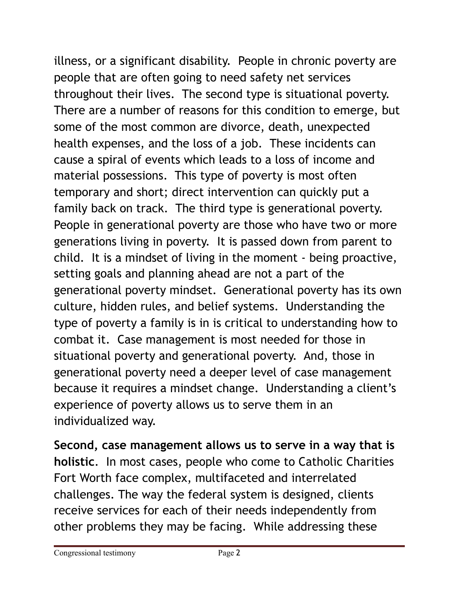illness, or a significant disability. People in chronic poverty are people that are often going to need safety net services throughout their lives. The second type is situational poverty. There are a number of reasons for this condition to emerge, but some of the most common are divorce, death, unexpected health expenses, and the loss of a job. These incidents can cause a spiral of events which leads to a loss of income and material possessions. This type of poverty is most often temporary and short; direct intervention can quickly put a family back on track. The third type is generational poverty. People in generational poverty are those who have two or more generations living in poverty. It is passed down from parent to child. It is a mindset of living in the moment - being proactive, setting goals and planning ahead are not a part of the generational poverty mindset. Generational poverty has its own culture, hidden rules, and belief systems. Understanding the type of poverty a family is in is critical to understanding how to combat it. Case management is most needed for those in situational poverty and generational poverty. And, those in generational poverty need a deeper level of case management because it requires a mindset change. Understanding a client's experience of poverty allows us to serve them in an individualized way.

**Second, case management allows us to serve in a way that is holistic**. In most cases, people who come to Catholic Charities Fort Worth face complex, multifaceted and interrelated challenges. The way the federal system is designed, clients receive services for each of their needs independently from other problems they may be facing. While addressing these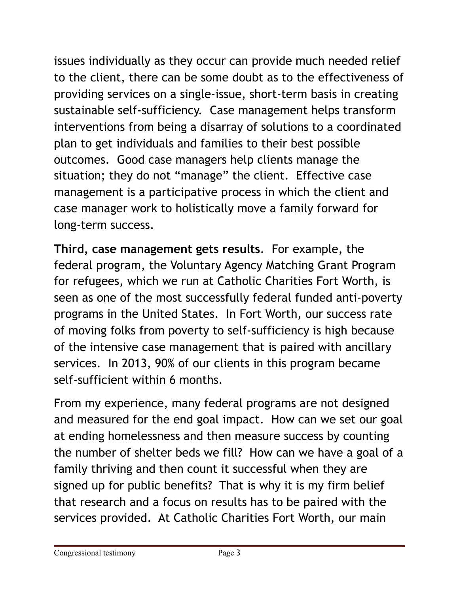issues individually as they occur can provide much needed relief to the client, there can be some doubt as to the effectiveness of providing services on a single-issue, short-term basis in creating sustainable self-sufficiency. Case management helps transform interventions from being a disarray of solutions to a coordinated plan to get individuals and families to their best possible outcomes. Good case managers help clients manage the situation; they do not "manage" the client. Effective case management is a participative process in which the client and case manager work to holistically move a family forward for long-term success.

**Third, case management gets results**. For example, the federal program, the Voluntary Agency Matching Grant Program for refugees, which we run at Catholic Charities Fort Worth, is seen as one of the most successfully federal funded anti-poverty programs in the United States. In Fort Worth, our success rate of moving folks from poverty to self-sufficiency is high because of the intensive case management that is paired with ancillary services. In 2013, 90% of our clients in this program became self-sufficient within 6 months.

From my experience, many federal programs are not designed and measured for the end goal impact. How can we set our goal at ending homelessness and then measure success by counting the number of shelter beds we fill? How can we have a goal of a family thriving and then count it successful when they are signed up for public benefits? That is why it is my firm belief that research and a focus on results has to be paired with the services provided. At Catholic Charities Fort Worth, our main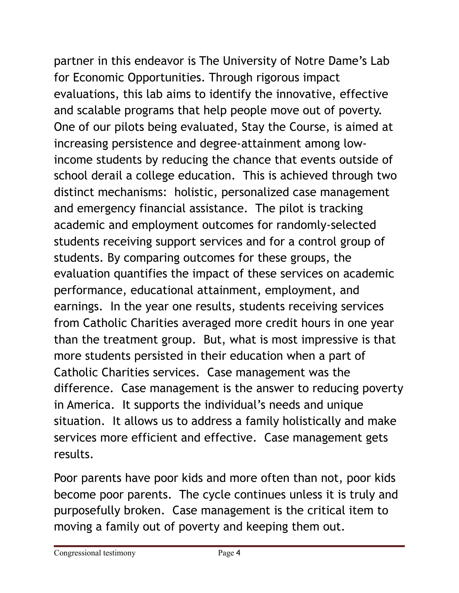partner in this endeavor is The University of Notre Dame's Lab for Economic Opportunities. Through rigorous impact evaluations, this lab aims to identify the innovative, effective and scalable programs that help people move out of poverty. One of our pilots being evaluated, Stay the Course, is aimed at increasing persistence and degree-attainment among lowincome students by reducing the chance that events outside of school derail a college education. This is achieved through two distinct mechanisms: holistic, personalized case management and emergency financial assistance.The pilot is tracking academic and employment outcomes for randomly-selected students receiving support services and for a control group of students. By comparing outcomes for these groups, the evaluation quantifies the impact of these services on academic performance, educational attainment, employment, and earnings. In the year one results, students receiving services from Catholic Charities averaged more credit hours in one year than the treatment group. But, what is most impressive is that more students persisted in their education when a part of Catholic Charities services. Case management was the difference. Case management is the answer to reducing poverty in America. It supports the individual's needs and unique situation. It allows us to address a family holistically and make services more efficient and effective. Case management gets results.

Poor parents have poor kids and more often than not, poor kids become poor parents. The cycle continues unless it is truly and purposefully broken. Case management is the critical item to moving a family out of poverty and keeping them out.